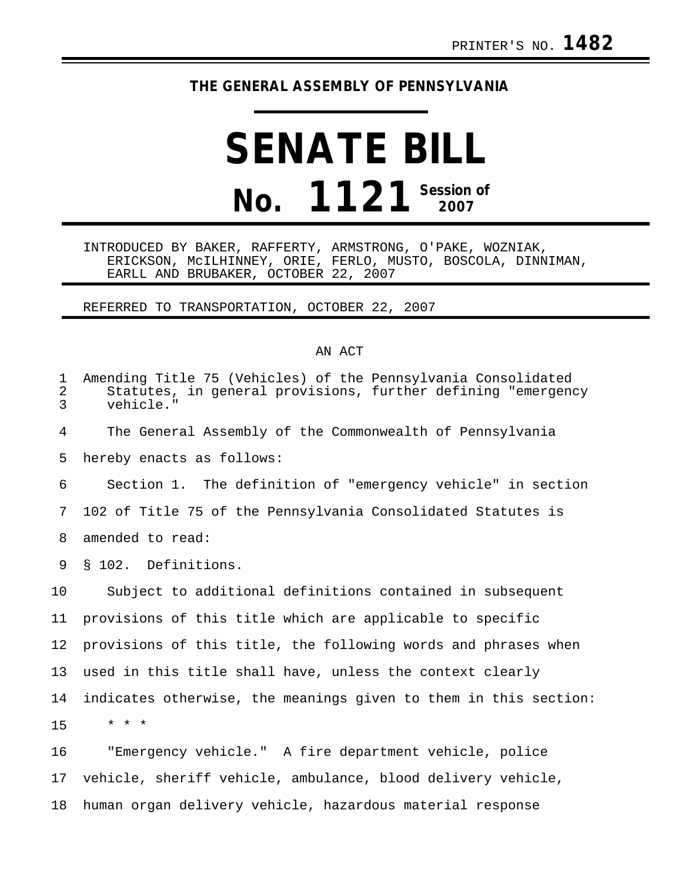## **THE GENERAL ASSEMBLY OF PENNSYLVANIA**

## **SENATE BILL No. 1121 Session of 2007**

INTRODUCED BY BAKER, RAFFERTY, ARMSTRONG, O'PAKE, WOZNIAK, ERICKSON, McILHINNEY, ORIE, FERLO, MUSTO, BOSCOLA, DINNIMAN, EARLL AND BRUBAKER, OCTOBER 22, 2007

REFERRED TO TRANSPORTATION, OCTOBER 22, 2007

## AN ACT

| $\mathbf 1$<br>2<br>3 | Amending Title 75 (Vehicles) of the Pennsylvania Consolidated<br>Statutes, in general provisions, further defining "emergency<br>vehicle." |
|-----------------------|--------------------------------------------------------------------------------------------------------------------------------------------|
| 4                     | The General Assembly of the Commonwealth of Pennsylvania                                                                                   |
| 5                     | hereby enacts as follows:                                                                                                                  |
| 6                     | Section 1. The definition of "emergency vehicle" in section                                                                                |
| 7                     | 102 of Title 75 of the Pennsylvania Consolidated Statutes is                                                                               |
| 8                     | amended to read:                                                                                                                           |
| 9                     | § 102. Definitions.                                                                                                                        |
| 10                    | Subject to additional definitions contained in subsequent                                                                                  |
| 11                    | provisions of this title which are applicable to specific                                                                                  |
| 12                    | provisions of this title, the following words and phrases when                                                                             |
| 13                    | used in this title shall have, unless the context clearly                                                                                  |
| 14                    | indicates otherwise, the meanings given to them in this section:                                                                           |
| 15                    | $* * *$                                                                                                                                    |
| 16                    | "Emergency vehicle." A fire department vehicle, police                                                                                     |
| 17                    | vehicle, sheriff vehicle, ambulance, blood delivery vehicle,                                                                               |
| 18                    | human organ delivery vehicle, hazardous material response                                                                                  |